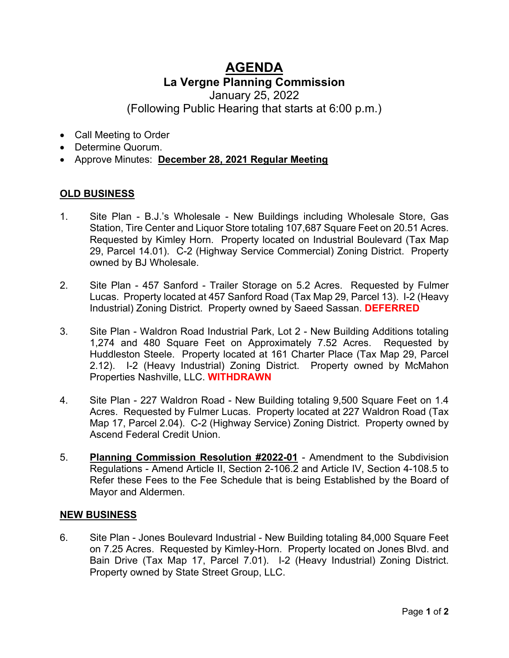## **AGENDA La Vergne Planning Commission**

January 25, 2022

(Following Public Hearing that starts at 6:00 p.m.)

- Call Meeting to Order
- Determine Quorum.
- Approve Minutes: **December 28, 2021 Regular Meeting**

## **OLD BUSINESS**

- 1. Site Plan B.J.'s Wholesale New Buildings including Wholesale Store, Gas Station, Tire Center and Liquor Store totaling 107,687 Square Feet on 20.51 Acres. Requested by Kimley Horn. Property located on Industrial Boulevard (Tax Map 29, Parcel 14.01). C-2 (Highway Service Commercial) Zoning District. Property owned by BJ Wholesale.
- 2. Site Plan 457 Sanford Trailer Storage on 5.2 Acres. Requested by Fulmer Lucas. Property located at 457 Sanford Road (Tax Map 29, Parcel 13). I-2 (Heavy Industrial) Zoning District. Property owned by Saeed Sassan. **DEFERRED**
- 3. Site Plan Waldron Road Industrial Park, Lot 2 New Building Additions totaling 1,274 and 480 Square Feet on Approximately 7.52 Acres. Requested by Huddleston Steele. Property located at 161 Charter Place (Tax Map 29, Parcel 2.12). I-2 (Heavy Industrial) Zoning District. Property owned by McMahon Properties Nashville, LLC. **WITHDRAWN**
- 4. Site Plan 227 Waldron Road New Building totaling 9,500 Square Feet on 1.4 Acres. Requested by Fulmer Lucas. Property located at 227 Waldron Road (Tax Map 17, Parcel 2.04). C-2 (Highway Service) Zoning District. Property owned by Ascend Federal Credit Union.
- 5. **Planning Commission Resolution #2022-01** Amendment to the Subdivision Regulations - Amend Article II, Section 2-106.2 and Article IV, Section 4-108.5 to Refer these Fees to the Fee Schedule that is being Established by the Board of Mayor and Aldermen.

## **NEW BUSINESS**

6. Site Plan - Jones Boulevard Industrial - New Building totaling 84,000 Square Feet on 7.25 Acres. Requested by Kimley-Horn. Property located on Jones Blvd. and Bain Drive (Tax Map 17, Parcel 7.01). I-2 (Heavy Industrial) Zoning District. Property owned by State Street Group, LLC.